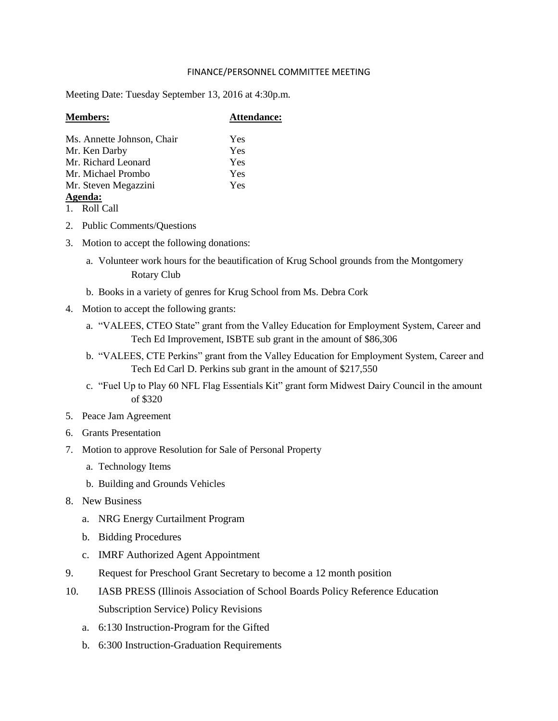## FINANCE/PERSONNEL COMMITTEE MEETING

Meeting Date: Tuesday September 13, 2016 at 4:30p.m.

| <b>Members:</b>            | <b>Attendance:</b> |
|----------------------------|--------------------|
| Ms. Annette Johnson, Chair | Yes                |
| Mr. Ken Darby              | Yes                |
| Mr. Richard Leonard        | Yes                |
| Mr. Michael Prombo         | Yes                |
| Mr. Steven Megazzini       | Yes                |
| Agenda:                    |                    |
| 1.717                      |                    |

- 1. Roll Call
- 2. Public Comments/Questions
- 3. Motion to accept the following donations:
	- a. Volunteer work hours for the beautification of Krug School grounds from the Montgomery Rotary Club
	- b. Books in a variety of genres for Krug School from Ms. Debra Cork
- 4. Motion to accept the following grants:
	- a. "VALEES, CTEO State" grant from the Valley Education for Employment System, Career and Tech Ed Improvement, ISBTE sub grant in the amount of \$86,306
	- b. "VALEES, CTE Perkins" grant from the Valley Education for Employment System, Career and Tech Ed Carl D. Perkins sub grant in the amount of \$217,550
	- c. "Fuel Up to Play 60 NFL Flag Essentials Kit" grant form Midwest Dairy Council in the amount of \$320
- 5. Peace Jam Agreement
- 6. Grants Presentation
- 7. Motion to approve Resolution for Sale of Personal Property
	- a. Technology Items
	- b. Building and Grounds Vehicles
- 8. New Business
	- a. NRG Energy Curtailment Program
	- b. Bidding Procedures
	- c. IMRF Authorized Agent Appointment
- 9. Request for Preschool Grant Secretary to become a 12 month position
- 10. IASB PRESS (Illinois Association of School Boards Policy Reference Education Subscription Service) Policy Revisions
	- a. 6:130 Instruction-Program for the Gifted
	- b. 6:300 Instruction-Graduation Requirements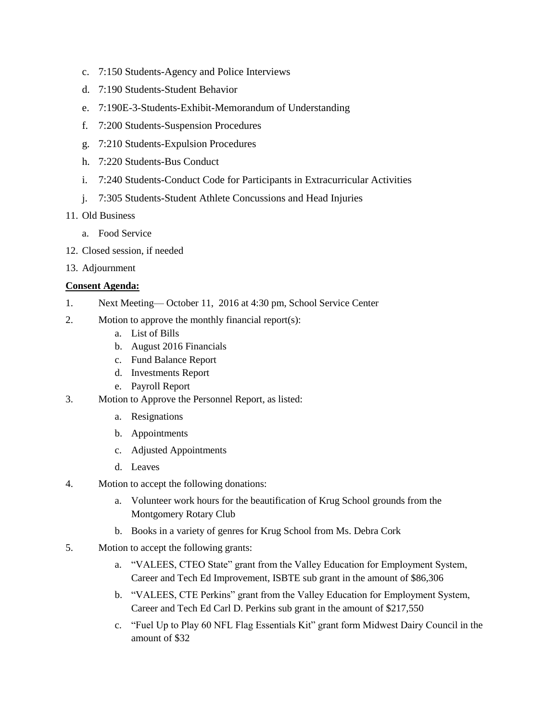- c. 7:150 Students-Agency and Police Interviews
- d. 7:190 Students-Student Behavior
- e. 7:190E-3-Students-Exhibit-Memorandum of Understanding
- f. 7:200 Students-Suspension Procedures
- g. 7:210 Students-Expulsion Procedures
- h. 7:220 Students-Bus Conduct
- i. 7:240 Students-Conduct Code for Participants in Extracurricular Activities
- j. 7:305 Students-Student Athlete Concussions and Head Injuries
- 11. Old Business
	- a. Food Service
- 12. Closed session, if needed
- 13. Adjournment

# **Consent Agenda:**

- 1. Next Meeting— October 11, 2016 at 4:30 pm, School Service Center
- 2. Motion to approve the monthly financial report(s):
	- a. List of Bills
	- b. August 2016 Financials
	- c. Fund Balance Report
	- d. Investments Report
	- e. Payroll Report
- 3. Motion to Approve the Personnel Report, as listed:
	- a. Resignations
	- b. Appointments
	- c. Adjusted Appointments
	- d. Leaves
- 4. Motion to accept the following donations:
	- a. Volunteer work hours for the beautification of Krug School grounds from the Montgomery Rotary Club
	- b. Books in a variety of genres for Krug School from Ms. Debra Cork
- 5. Motion to accept the following grants:
	- a. "VALEES, CTEO State" grant from the Valley Education for Employment System, Career and Tech Ed Improvement, ISBTE sub grant in the amount of \$86,306
	- b. "VALEES, CTE Perkins" grant from the Valley Education for Employment System, Career and Tech Ed Carl D. Perkins sub grant in the amount of \$217,550
	- c. "Fuel Up to Play 60 NFL Flag Essentials Kit" grant form Midwest Dairy Council in the amount of \$32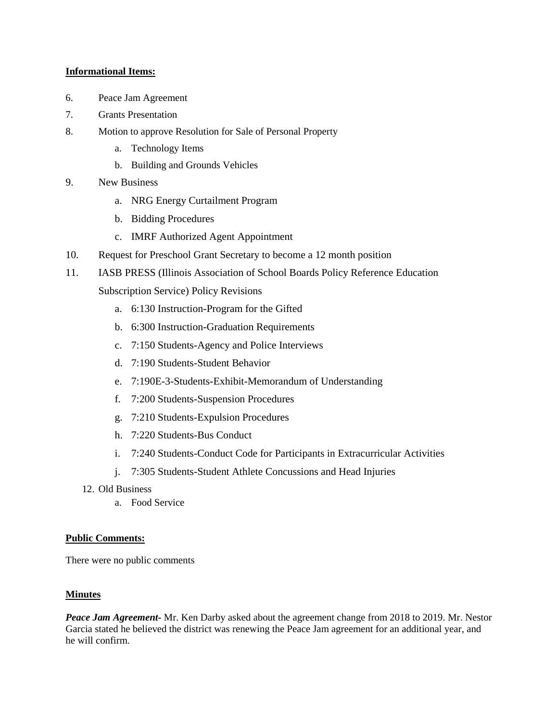# **Informational Items:**

- 6. Peace Jam Agreement
- 7. Grants Presentation
- 8. Motion to approve Resolution for Sale of Personal Property
	- a. Technology Items
	- b. Building and Grounds Vehicles
- 9. New Business
	- a. NRG Energy Curtailment Program
	- b. Bidding Procedures
	- c. IMRF Authorized Agent Appointment
- 10. Request for Preschool Grant Secretary to become a 12 month position
- 11. IASB PRESS (Illinois Association of School Boards Policy Reference Education

Subscription Service) Policy Revisions

- a. 6:130 Instruction-Program for the Gifted
- b. 6:300 Instruction-Graduation Requirements
- c. 7:150 Students-Agency and Police Interviews
- d. 7:190 Students-Student Behavior
- e. 7:190E-3-Students-Exhibit-Memorandum of Understanding
- f. 7:200 Students-Suspension Procedures
- g. 7:210 Students-Expulsion Procedures
- h. 7:220 Students-Bus Conduct
- i. 7:240 Students-Conduct Code for Participants in Extracurricular Activities
- j. 7:305 Students-Student Athlete Concussions and Head Injuries
- 12. Old Business
	- a. Food Service

# **Public Comments:**

There were no public comments

# **Minutes**

*Peace Jam Agreement-* Mr. Ken Darby asked about the agreement change from 2018 to 2019. Mr. Nestor Garcia stated he believed the district was renewing the Peace Jam agreement for an additional year, and he will confirm.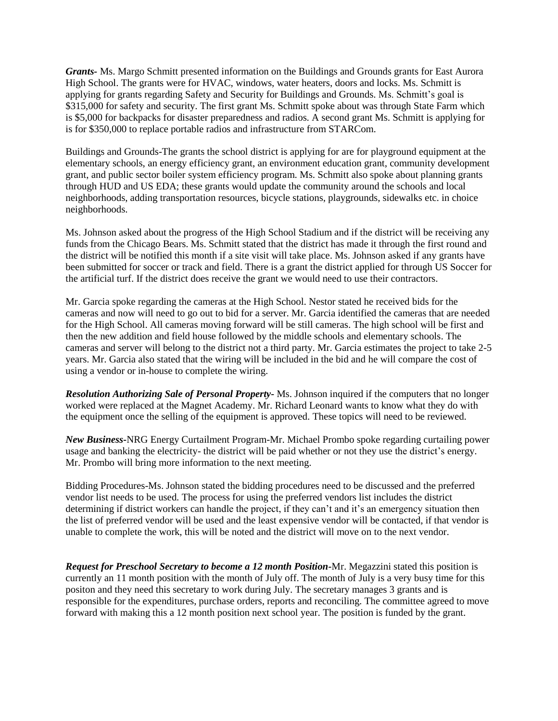*Grants-* Ms. Margo Schmitt presented information on the Buildings and Grounds grants for East Aurora High School. The grants were for HVAC, windows, water heaters, doors and locks. Ms. Schmitt is applying for grants regarding Safety and Security for Buildings and Grounds. Ms. Schmitt's goal is \$315,000 for safety and security. The first grant Ms. Schmitt spoke about was through State Farm which is \$5,000 for backpacks for disaster preparedness and radios. A second grant Ms. Schmitt is applying for is for \$350,000 to replace portable radios and infrastructure from STARCom.

Buildings and Grounds-The grants the school district is applying for are for playground equipment at the elementary schools, an energy efficiency grant, an environment education grant, community development grant, and public sector boiler system efficiency program. Ms. Schmitt also spoke about planning grants through HUD and US EDA; these grants would update the community around the schools and local neighborhoods, adding transportation resources, bicycle stations, playgrounds, sidewalks etc. in choice neighborhoods.

Ms. Johnson asked about the progress of the High School Stadium and if the district will be receiving any funds from the Chicago Bears. Ms. Schmitt stated that the district has made it through the first round and the district will be notified this month if a site visit will take place. Ms. Johnson asked if any grants have been submitted for soccer or track and field. There is a grant the district applied for through US Soccer for the artificial turf. If the district does receive the grant we would need to use their contractors.

Mr. Garcia spoke regarding the cameras at the High School. Nestor stated he received bids for the cameras and now will need to go out to bid for a server. Mr. Garcia identified the cameras that are needed for the High School. All cameras moving forward will be still cameras. The high school will be first and then the new addition and field house followed by the middle schools and elementary schools. The cameras and server will belong to the district not a third party. Mr. Garcia estimates the project to take 2-5 years. Mr. Garcia also stated that the wiring will be included in the bid and he will compare the cost of using a vendor or in-house to complete the wiring.

*Resolution Authorizing Sale of Personal Property-* Ms. Johnson inquired if the computers that no longer worked were replaced at the Magnet Academy. Mr. Richard Leonard wants to know what they do with the equipment once the selling of the equipment is approved. These topics will need to be reviewed.

*New Business-*NRG Energy Curtailment Program-Mr. Michael Prombo spoke regarding curtailing power usage and banking the electricity- the district will be paid whether or not they use the district's energy. Mr. Prombo will bring more information to the next meeting.

Bidding Procedures-Ms. Johnson stated the bidding procedures need to be discussed and the preferred vendor list needs to be used. The process for using the preferred vendors list includes the district determining if district workers can handle the project, if they can't and it's an emergency situation then the list of preferred vendor will be used and the least expensive vendor will be contacted, if that vendor is unable to complete the work, this will be noted and the district will move on to the next vendor.

*Request for Preschool Secretary to become a 12 month Position-*Mr. Megazzini stated this position is currently an 11 month position with the month of July off. The month of July is a very busy time for this positon and they need this secretary to work during July. The secretary manages 3 grants and is responsible for the expenditures, purchase orders, reports and reconciling. The committee agreed to move forward with making this a 12 month position next school year. The position is funded by the grant.